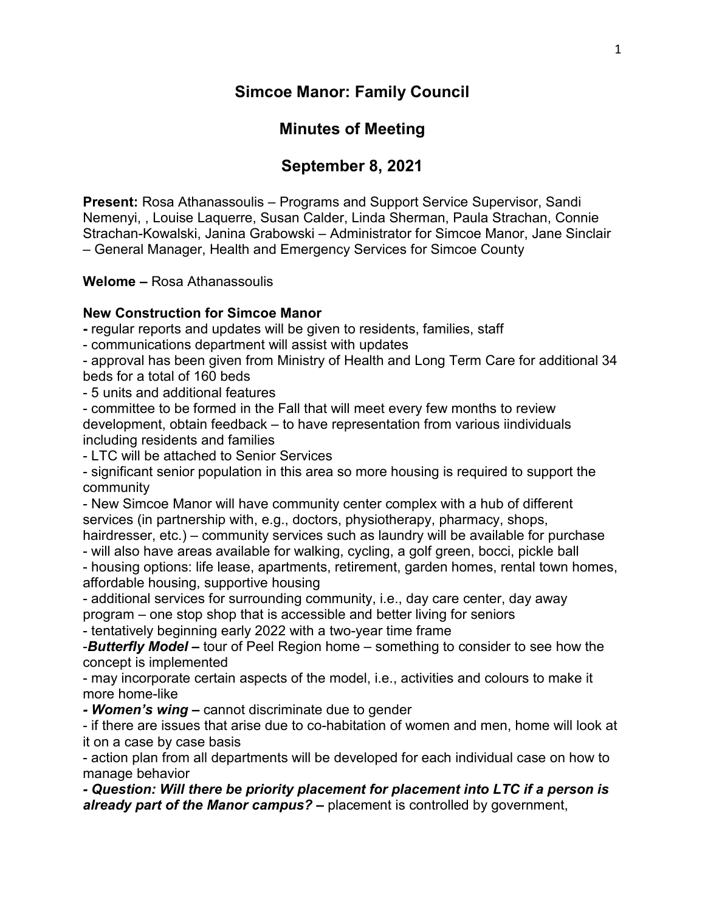## **Simcoe Manor: Family Council**

# **Minutes of Meeting**

# **September 8, 2021**

**Present:** Rosa Athanassoulis – Programs and Support Service Supervisor, Sandi Nemenyi, , Louise Laquerre, Susan Calder, Linda Sherman, Paula Strachan, Connie Strachan-Kowalski, Janina Grabowski – Administrator for Simcoe Manor, Jane Sinclair – General Manager, Health and Emergency Services for Simcoe County

**Welome –** Rosa Athanassoulis

## **New Construction for Simcoe Manor**

**-** regular reports and updates will be given to residents, families, staff

- communications department will assist with updates

- approval has been given from Ministry of Health and Long Term Care for additional 34 beds for a total of 160 beds

- 5 units and additional features

- committee to be formed in the Fall that will meet every few months to review development, obtain feedback – to have representation from various iindividuals including residents and families

- LTC will be attached to Senior Services

- significant senior population in this area so more housing is required to support the community

- New Simcoe Manor will have community center complex with a hub of different services (in partnership with, e.g., doctors, physiotherapy, pharmacy, shops,

hairdresser, etc.) – community services such as laundry will be available for purchase - will also have areas available for walking, cycling, a golf green, bocci, pickle ball

- housing options: life lease, apartments, retirement, garden homes, rental town homes, affordable housing, supportive housing

- additional services for surrounding community, i.e., day care center, day away program – one stop shop that is accessible and better living for seniors

- tentatively beginning early 2022 with a two-year time frame

-*Butterfly Model –* tour of Peel Region home – something to consider to see how the concept is implemented

- may incorporate certain aspects of the model, i.e., activities and colours to make it more home-like

*- Women's wing –* cannot discriminate due to gender

- if there are issues that arise due to co-habitation of women and men, home will look at it on a case by case basis

- action plan from all departments will be developed for each individual case on how to manage behavior

*- Question: Will there be priority placement for placement into LTC if a person is already part of the Manor campus? –* placement is controlled by government,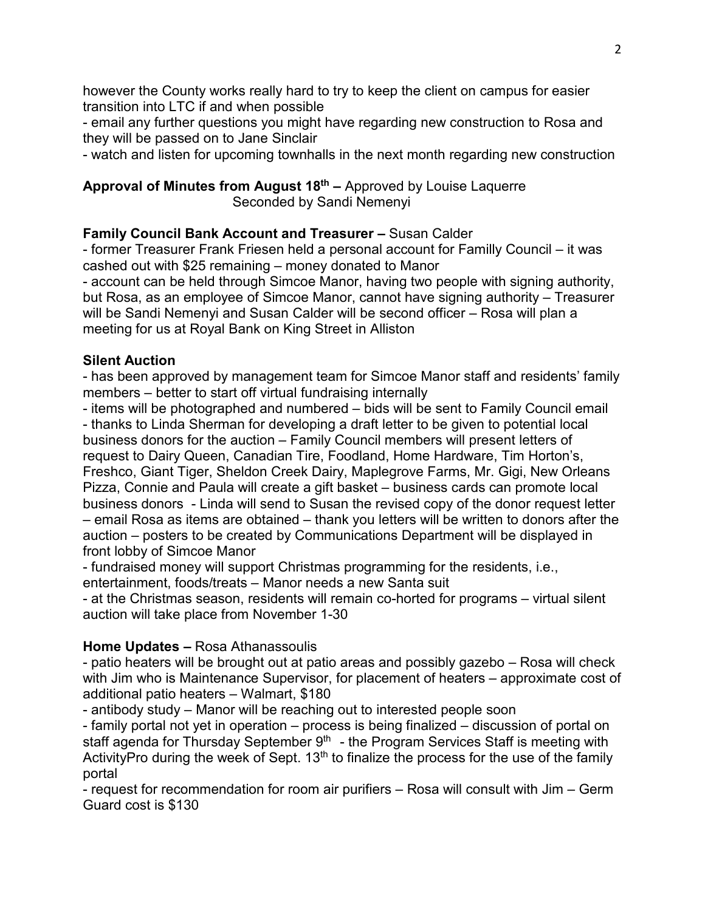however the County works really hard to try to keep the client on campus for easier transition into LTC if and when possible

- email any further questions you might have regarding new construction to Rosa and they will be passed on to Jane Sinclair

- watch and listen for upcoming townhalls in the next month regarding new construction

**Approval of Minutes from August 18th –** Approved by Louise Laquerre Seconded by Sandi Nemenyi

## **Family Council Bank Account and Treasurer –** Susan Calder

- former Treasurer Frank Friesen held a personal account for Familly Council – it was cashed out with \$25 remaining – money donated to Manor - account can be held through Simcoe Manor, having two people with signing authority, but Rosa, as an employee of Simcoe Manor, cannot have signing authority – Treasurer will be Sandi Nemenyi and Susan Calder will be second officer – Rosa will plan a meeting for us at Royal Bank on King Street in Alliston

### **Silent Auction**

- has been approved by management team for Simcoe Manor staff and residents' family members – better to start off virtual fundraising internally

- items will be photographed and numbered – bids will be sent to Family Council email - thanks to Linda Sherman for developing a draft letter to be given to potential local business donors for the auction – Family Council members will present letters of request to Dairy Queen, Canadian Tire, Foodland, Home Hardware, Tim Horton's, Freshco, Giant Tiger, Sheldon Creek Dairy, Maplegrove Farms, Mr. Gigi, New Orleans Pizza, Connie and Paula will create a gift basket – business cards can promote local business donors - Linda will send to Susan the revised copy of the donor request letter – email Rosa as items are obtained – thank you letters will be written to donors after the auction – posters to be created by Communications Department will be displayed in front lobby of Simcoe Manor

- fundraised money will support Christmas programming for the residents, i.e., entertainment, foods/treats – Manor needs a new Santa suit

- at the Christmas season, residents will remain co-horted for programs – virtual silent auction will take place from November 1-30

### **Home Updates –** Rosa Athanassoulis

- patio heaters will be brought out at patio areas and possibly gazebo – Rosa will check with Jim who is Maintenance Supervisor, for placement of heaters – approximate cost of additional patio heaters – Walmart, \$180

- antibody study – Manor will be reaching out to interested people soon

- family portal not yet in operation – process is being finalized – discussion of portal on staff agenda for Thursday September  $9<sup>th</sup>$  - the Program Services Staff is meeting with ActivityPro during the week of Sept.  $13<sup>th</sup>$  to finalize the process for the use of the family portal

- request for recommendation for room air purifiers – Rosa will consult with Jim – Germ Guard cost is \$130